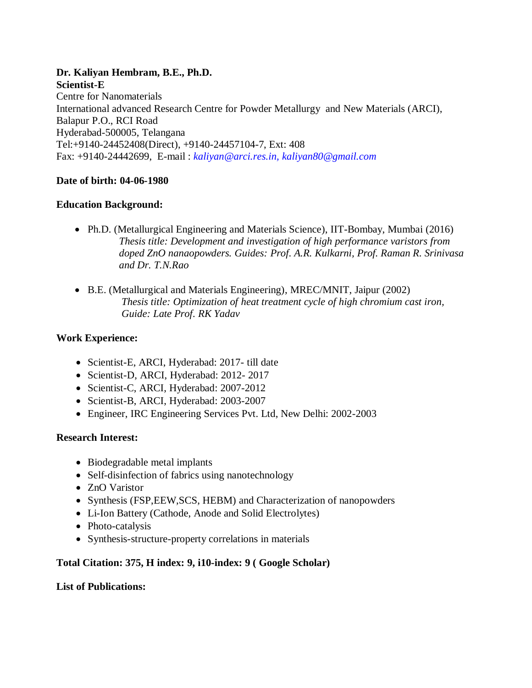#### **Dr. Kaliyan Hembram, B.E., Ph.D. Scientist-E** Centre for Nanomaterials International advanced Research Centre for Powder Metallurgy and New Materials (ARCI), Balapur P.O., RCI Road Hyderabad-500005, Telangana Tel:+9140-24452408(Direct), +9140-24457104-7, Ext: 408 Fax: +9140-24442699, E-mail : *kaliyan@arci.res.in, [kaliyan80@gmail.com](mailto:kaliyan80@gmail.com)*

# **Date of birth: 04-06-1980**

## **Education Background:**

- Ph.D. (Metallurgical Engineering and Materials Science), IIT-Bombay, Mumbai (2016) *Thesis title: Development and investigation of high performance varistors from doped ZnO nanaopowders. Guides: Prof. A.R. Kulkarni, Prof. Raman R. Srinivasa and Dr. T.N.Rao*
- B.E. (Metallurgical and Materials Engineering), MREC/MNIT, Jaipur (2002) *Thesis title: Optimization of heat treatment cycle of high chromium cast iron, Guide: Late Prof. RK Yadav*

## **Work Experience:**

- Scientist-E, ARCI, Hyderabad: 2017- till date
- Scientist-D, ARCI, Hyderabad: 2012- 2017
- Scientist-C, ARCI, Hyderabad: 2007-2012
- Scientist-B, ARCI, Hyderabad: 2003-2007
- Engineer, IRC Engineering Services Pvt. Ltd, New Delhi: 2002-2003

## **Research Interest:**

- Biodegradable metal implants
- Self-disinfection of fabrics using nanotechnology
- ZnO Varistor
- Synthesis (FSP, EEW, SCS, HEBM) and Characterization of nanopowders
- Li-Ion Battery (Cathode, Anode and Solid Electrolytes)
- Photo-catalysis
- Synthesis-structure-property correlations in materials

## **Total Citation: 375, H index: 9, i10-index: 9 ( Google Scholar)**

## **List of Publications:**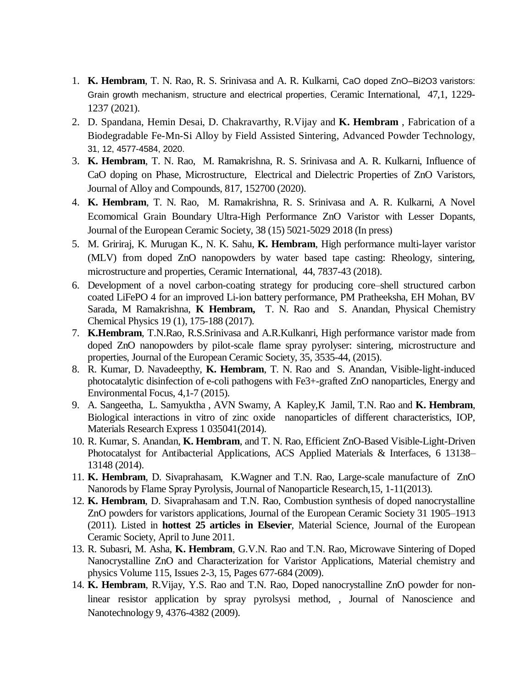- 1. **K. Hembram**, T. N. Rao, R. S. Srinivasa and A. R. Kulkarni, [CaO doped ZnO–Bi2O3 varistors:](javascript:void(0))  [Grain growth mechanism, structure and electrical properties,](javascript:void(0)) Ceramic International, 47,1, 1229- 1237 (2021).
- 2. D. Spandana, Hemin Desai, D. Chakravarthy, R.Vijay and **K. Hembram** , Fabrication of a Biodegradable Fe-Mn-Si Alloy by Field Assisted Sintering, Advanced Powder Technology, 31, 12, 4577-4584, 2020.
- 3. **K. Hembram**, T. N. Rao, M. Ramakrishna, R. S. Srinivasa and A. R. Kulkarni, Influence of CaO doping on Phase, Microstructure, Electrical and Dielectric Properties of ZnO Varistors, Journal of Alloy and Compounds, 817, 152700 (2020).
- 4. **K. Hembram**, T. N. Rao, M. Ramakrishna, R. S. Srinivasa and A. R. Kulkarni, A Novel Ecomomical Grain Boundary Ultra-High Performance ZnO Varistor with Lesser Dopants, Journal of the European Ceramic Society, 38 (15) 5021-5029 2018 (In press)
- 5. M. Gririraj, K. Murugan K., N. K. Sahu, **K. Hembram**, High performance multi-layer varistor (MLV) from doped ZnO nanopowders by water based tape casting: Rheology, sintering, microstructure and properties, Ceramic International, 44, 7837-43 (2018).
- 6. Development of a novel carbon-coating strategy for producing core–shell structured carbon coated LiFePO 4 for an improved Li-ion battery performance, PM Pratheeksha, EH Mohan, BV Sarada, M Ramakrishna, **K Hembram,** T. N. Rao and S. Anandan, Physical Chemistry Chemical Physics 19 (1), 175-188 (2017).
- 7. **K.Hembram**, T.N.Rao, R.S.Srinivasa and A.R.Kulkanri, High performance varistor made from doped ZnO nanopowders by pilot-scale flame spray pyrolyser: sintering, microstructure and properties, Journal of the European Ceramic Society, 35, 3535-44, (2015).
- 8. R. Kumar, D. Navadeepthy, **K. Hembram**, T. N. Rao and S. Anandan, Visible-light-induced photocatalytic disinfection of e-coli pathogens with Fe3+-grafted ZnO nanoparticles, Energy and Environmental Focus, 4,1-7 (2015).
- 9. A. Sangeetha, L. Samyuktha , AVN Swamy, A Kapley,K Jamil, T.N. Rao and **K. Hembram**, Biological interactions in vitro of zinc oxide nanoparticles of different characteristics, IOP, Materials Research Express 1 035041(2014).
- 10. R. Kumar, S. Anandan, **K. Hembram**, and T. N. Rao, Efficient ZnO-Based Visible-Light-Driven Photocatalyst for Antibacterial Applications, ACS Applied Materials & Interfaces, 6 13138– 13148 (2014).
- 11. **K. Hembram**, D. Sivaprahasam, K.Wagner and T.N. Rao, Large-scale manufacture of ZnO Nanorods by Flame Spray Pyrolysis, Journal of Nanoparticle Research,15, 1-11(2013).
- 12. **K. Hembram**, D. Sivaprahasam and T.N. Rao, Combustion synthesis of doped nanocrystalline ZnO powders for varistors applications, Journal of the European Ceramic Society 31 1905–1913 (2011). Listed in **hottest 25 articles in Elsevier**, Material Science, Journal of the European Ceramic Society, April to June 2011.
- 13. R. Subasri, M. Asha, **K. Hembram**, G.V.N. Rao and T.N. Rao, Microwave Sintering of Doped Nanocrystalline ZnO and Characterization for Varistor Applications, Material chemistry and physics Volume 115, Issues 2-3, 15, Pages 677-684 (2009).
- 14. **K. Hembram**, R.Vijay, Y.S. Rao and T.N. Rao, Doped nanocrystalline ZnO powder for nonlinear resistor application by spray pyrolsysi method, , Journal of Nanoscience and Nanotechnology 9, 4376-4382 (2009).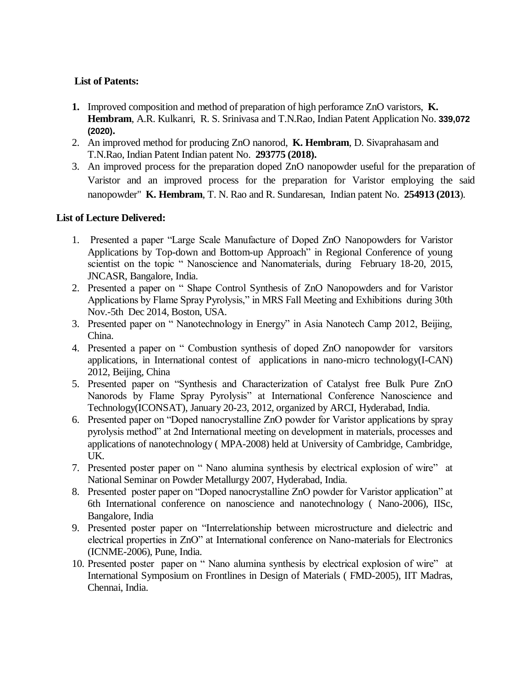# **List of Patents:**

- **1.** Improved composition and method of preparation of high perforamce ZnO varistors, **K. Hembram**, A.R. Kulkanri, R. S. Srinivasa and T.N.Rao, Indian Patent Application No. **339,072 (2020).**
- 2. An improved method for producing ZnO nanorod, **K. Hembram**, D. Sivaprahasam and T.N.Rao, Indian Patent Indian patent No. **293775 (2018).**
- 3. An improved process for the preparation doped ZnO nanopowder useful for the preparation of Varistor and an improved process for the preparation for Varistor employing the said nanopowder" **K. Hembram**, T. N. Rao and R. Sundaresan, Indian patent No. **254913 (2013**).

# **List of Lecture Delivered:**

- 1. Presented a paper "Large Scale Manufacture of Doped ZnO Nanopowders for Varistor Applications by Top-down and Bottom-up Approach" in Regional Conference of young scientist on the topic " Nanoscience and Nanomaterials, during February 18-20, 2015, JNCASR, Bangalore, India.
- 2. Presented a paper on " Shape Control Synthesis of ZnO Nanopowders and for Varistor Applications by Flame Spray Pyrolysis," in MRS Fall Meeting and Exhibitions during 30th Nov.-5th Dec 2014, Boston, USA.
- 3. Presented paper on " Nanotechnology in Energy" in Asia Nanotech Camp 2012, Beijing, China.
- 4. Presented a paper on " Combustion synthesis of doped ZnO nanopowder for varsitors applications, in International contest of applications in nano-micro technology(I-CAN) 2012, Beijing, China
- 5. Presented paper on "Synthesis and Characterization of Catalyst free Bulk Pure ZnO Nanorods by Flame Spray Pyrolysis" at International Conference Nanoscience and Technology(ICONSAT), January 20-23, 2012, organized by ARCI, Hyderabad, India.
- 6. Presented paper on "Doped nanocrystalline ZnO powder for Varistor applications by spray pyrolysis method" at 2nd International meeting on development in materials, processes and applications of nanotechnology ( MPA-2008) held at University of Cambridge, Cambridge, UK.
- 7. Presented poster paper on " Nano alumina synthesis by electrical explosion of wire" at National Seminar on Powder Metallurgy 2007, Hyderabad, India.
- 8. Presented poster paper on "Doped nanocrystalline ZnO powder for Varistor application" at 6th International conference on nanoscience and nanotechnology ( Nano-2006), IISc, Bangalore, India
- 9. Presented poster paper on "Interrelationship between microstructure and dielectric and electrical properties in ZnO" at International conference on Nano-materials for Electronics (ICNME-2006), Pune, India.
- 10. Presented poster paper on " Nano alumina synthesis by electrical explosion of wire" at International Symposium on Frontlines in Design of Materials ( FMD-2005), IIT Madras, Chennai, India.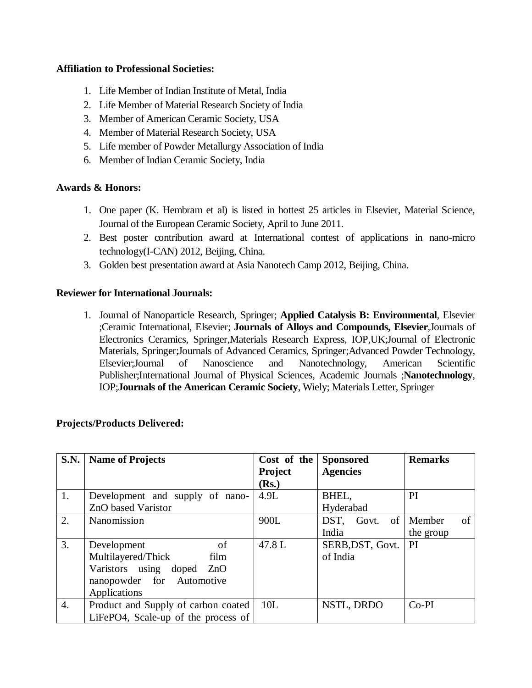#### **Affiliation to Professional Societies:**

- 1. Life Member of Indian Institute of Metal, India
- 2. Life Member of Material Research Society of India
- 3. Member of American Ceramic Society, USA
- 4. Member of Material Research Society, USA
- 5. Life member of Powder Metallurgy Association of India
- 6. Member of Indian Ceramic Society, India

#### **Awards & Honors:**

- 1. One paper (K. Hembram et al) is listed in hottest 25 articles in Elsevier, Material Science, Journal of the European Ceramic Society, April to June 2011.
- 2. Best poster contribution award at International contest of applications in nano-micro technology(I-CAN) 2012, Beijing, China.
- 3. Golden best presentation award at Asia Nanotech Camp 2012, Beijing, China.

#### **Reviewer for International Journals:**

1. Journal of Nanoparticle Research, Springer; **Applied Catalysis B: Environmental**, Elsevier ;Ceramic International, Elsevier; **Journals of Alloys and Compounds, Elsevier**,Journals of Electronics Ceramics, Springer,Materials Research Express, IOP,UK;Journal of Electronic Materials, Springer;Journals of Advanced Ceramics, Springer;Advanced Powder Technology, Elsevier;Journal of Nanoscience and Nanotechnology, American Scientific Publisher;International Journal of Physical Sciences, Academic Journals ;**Nanotechnology**, IOP;**Journals of the American Ceramic Society**, Wiely; Materials Letter, Springer

| <b>Projects/Products Delivered:</b> |  |
|-------------------------------------|--|
|-------------------------------------|--|

| <b>S.N.</b>      | <b>Name of Projects</b>             | Cost of the    | <b>Sponsored</b> | <b>Remarks</b> |
|------------------|-------------------------------------|----------------|------------------|----------------|
|                  |                                     | <b>Project</b> | <b>Agencies</b>  |                |
|                  |                                     | (Rs.)          |                  |                |
| 1.               | Development and supply of nano-     | 4.9L           | BHEL,            | <b>PI</b>      |
|                  | ZnO based Varistor                  |                | Hyderabad        |                |
| 2.               | Nanomission                         | 900L           | of<br>DST, Govt. | Member<br>of   |
|                  |                                     |                | India            | the group      |
| 3.               | of<br>Development                   | 47.8L          | SERB, DST, Govt. | PI.            |
|                  | Multilayered/Thick<br>film          |                | of India         |                |
|                  | Varistors using doped ZnO           |                |                  |                |
|                  | nanopowder for Automotive           |                |                  |                |
|                  | Applications                        |                |                  |                |
| $\overline{4}$ . | Product and Supply of carbon coated | 10L            | NSTL, DRDO       | $Co-PI$        |
|                  | LiFePO4, Scale-up of the process of |                |                  |                |